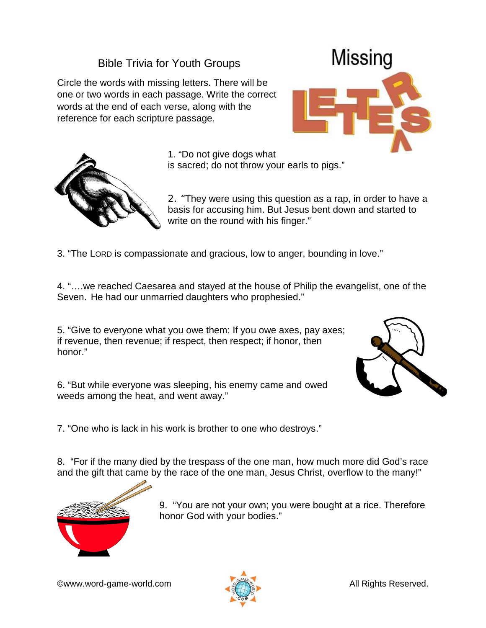## Bible Trivia for Youth Groups

Circle the words with missing letters. There will be one or two words in each passage. Write the correct words at the end of each verse, along with the reference for each scripture passage.





1. "Do not give dogs what

is sacred; do not throw your earls to pigs."

2. "They were using this question as a rap, in order to have a basis for accusing him. But Jesus bent down and started to write on the round with his finger."

3. "The LORD is compassionate and gracious, low to anger, bounding in love."

4. "….we reached Caesarea and stayed at the house of Philip the evangelist, one of the Seven. He had our unmarried daughters who prophesied."

5. "Give to everyone what you owe them: If you owe axes, pay axes; if revenue, then revenue; if respect, then respect; if honor, then honor."



6. "But while everyone was sleeping, his enemy came and owed weeds among the heat, and went away."

7. "One who is lack in his work is brother to one who destroys."

8. "For if the many died by the trespass of the one man, how much more did God's race and the gift that came by the race of the one man, Jesus Christ, overflow to the many!"



9. "You are not your own; you were bought at a rice. Therefore honor God with your bodies."

©www.word-game-world.com All Rights Reserved.

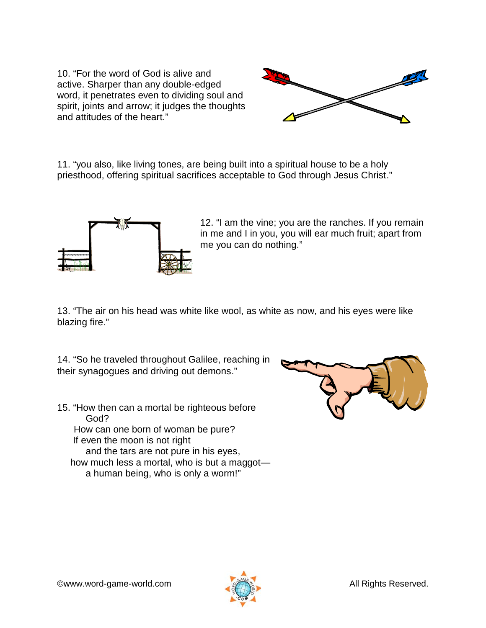10. "For the word of God is alive and active. Sharper than any double-edged word, it penetrates even to dividing soul and spirit, joints and arrow; it judges the thoughts and attitudes of the heart."



11. "you also, like living tones, are being built into a spiritual house to be a holy priesthood, offering spiritual sacrifices acceptable to God through Jesus Christ."



12. "I am the vine; you are the ranches. If you remain in me and I in you, you will ear much fruit; apart from me you can do nothing."

13. "The air on his head was white like wool, as white as now, and his eyes were like blazing fire."

14. "So he traveled throughout Galilee, reaching in their synagogues and driving out demons."

15. "How then can a mortal be righteous before God? How can one born of woman be pure? If even the moon is not right and the tars are not pure in his eyes, how much less a mortal, who is but a maggot a human being, who is only a worm!"